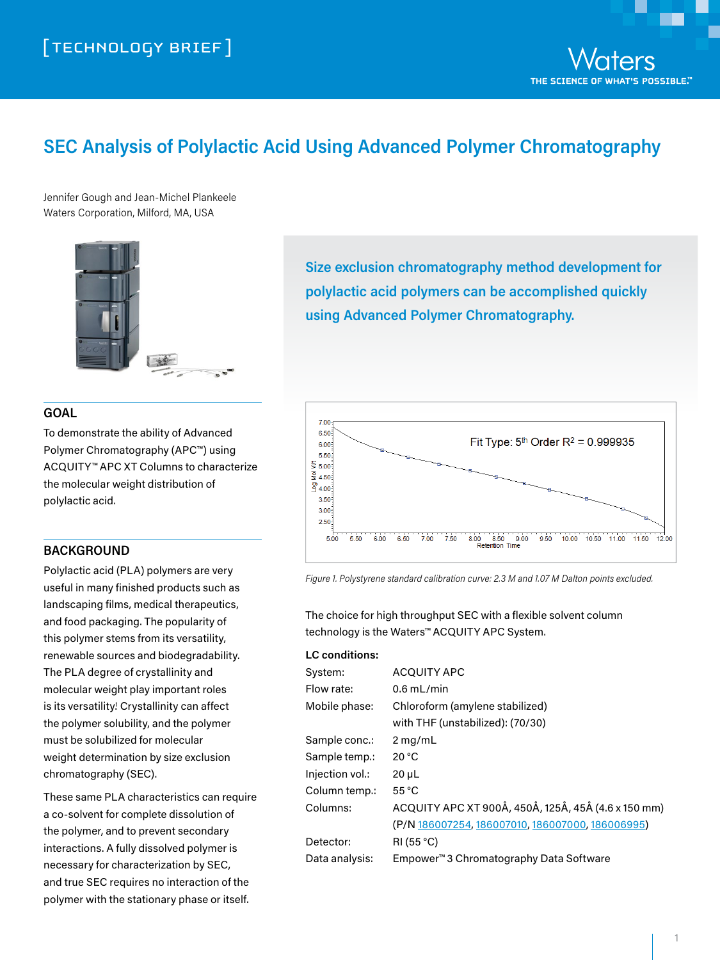

# **SEC Analysis of Polylactic Acid Using Advanced Polymer Chromatography**

Jennifer Gough and Jean-Michel Plankeele Waters Corporation, Milford, MA, USA



# **GOAL**

To demonstrate the ability of Advanced Polymer Chromatography (APC™) using ACQUITY™ APC XT Columns to characterize the molecular weight distribution of polylactic acid.

## **BACKGROUND**

Polylactic acid (PLA) polymers are very useful in many finished products such as landscaping films, medical therapeutics, and food packaging. The popularity of this polymer stems from its versatility, renewable sources and biodegradability. The PLA degree of crystallinity and molecular weight play important roles is its versatility! Crystallinity can affect the polymer solubility, and the polymer must be solubilized for molecular weight determination by size exclusion chromatography (SEC).

These same PLA characteristics can require a co-solvent for complete dissolution of the polymer, and to prevent secondary interactions. A fully dissolved polymer is necessary for characterization by SEC, and true SEC requires no interaction of the polymer with the stationary phase or itself.

**Size exclusion chromatography method development for polylactic acid polymers can be accomplished quickly using Advanced Polymer Chromatography.**



*Figure 1. Polystyrene standard calibration curve: 2.3 M and 1.07 M Dalton points excluded.*

The choice for high throughput SEC with a flexible solvent column technology is the Waters™ ACQUITY APC System.

#### **LC conditions:**

| System:         | <b>ACQUITY APC</b>                                  |
|-----------------|-----------------------------------------------------|
| Flow rate:      | $0.6$ mL/min                                        |
| Mobile phase:   | Chloroform (amylene stabilized)                     |
|                 | with THF (unstabilized): (70/30)                    |
| Sample conc.:   | $2$ mg/mL                                           |
| Sample temp.:   | 20 °C                                               |
| Injection vol.: | $20 \mu L$                                          |
| Column temp.:   | $55^{\circ}$ C                                      |
| Columns:        | ACQUITY APC XT 900Å, 450Å, 125Å, 45Å (4.6 x 150 mm) |
|                 | (P/N 186007254, 186007010, 186007000, 186006995)    |
| Detector:       | RI(55 °C)                                           |
| Data analysis:  | Empower <sup>™</sup> 3 Chromatography Data Software |
|                 |                                                     |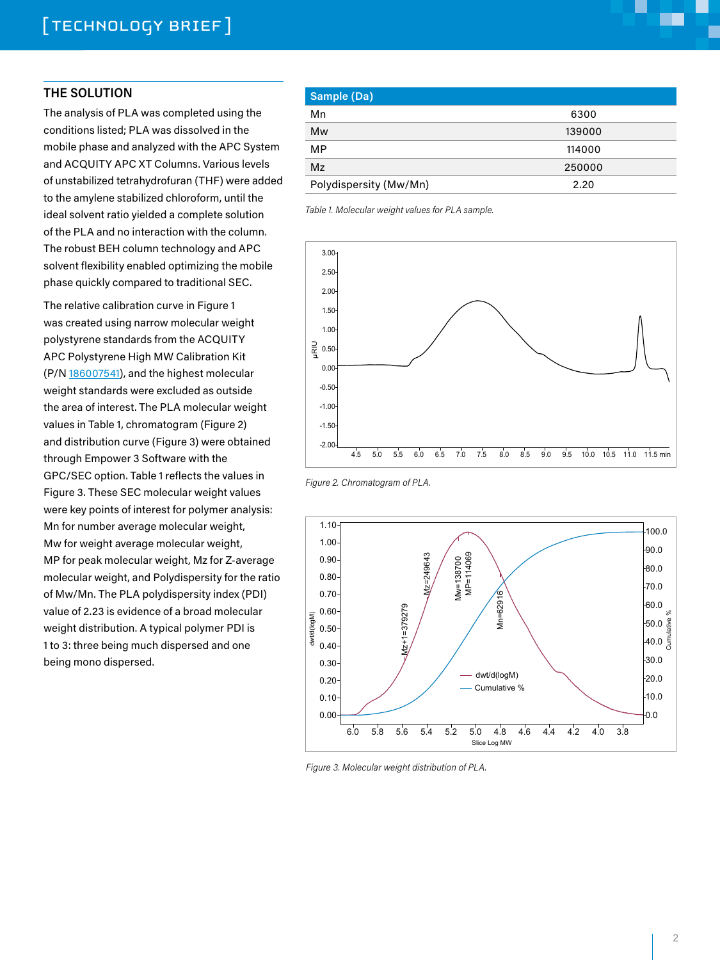# **THE SOLUTION**

The analysis of PLA was completed using the conditions listed; PLA was dissolved in the mobile phase and analyzed with the APC System and ACQUITY APC XT Columns. Various levels of unstabilized tetrahydrofuran (THF) were added to the amylene stabilized chloroform, until the ideal solvent ratio yielded a complete solution of the PLA and no interaction with the column. The robust BEH column technology and APC solvent flexibility enabled optimizing the mobile phase quickly compared to traditional SEC.

The relative calibration curve in Figure 1 was created using narrow molecular weight polystyrene standards from the ACQUITY APC Polystyrene High MW Calibration Kit (P/N [186007541\)](http://www.waters.com/waters/partDetail.htm?partNumber=186007541), and the highest molecular weight standards were excluded as outside the area of interest. The PLA molecular weight values in Table 1, chromatogram (Figure 2) and distribution curve (Figure 3) were obtained through Empower 3 Software with the GPC/SEC option. Table 1 reflects the values in Figure 3. These SEC molecular weight values were key points of interest for polymer analysis: Mn for number average molecular weight, Mw for weight average molecular weight, MP for peak molecular weight, Mz for Z-average molecular weight, and Polydispersity for the ratio of Mw/Mn. The PLA polydispersity index (PDI) value of 2.23 is evidence of a broad molecular weight distribution. A typical polymer PDI is 1 to 3: three being much dispersed and one being mono dispersed.

| Sample (Da)            |        |  |
|------------------------|--------|--|
| Mn                     | 6300   |  |
| Mw                     | 139000 |  |
| <b>MP</b>              | 114000 |  |
| Mz                     | 250000 |  |
| Polydispersity (Mw/Mn) | 2.20   |  |

*Table 1. Molecular weight values for PLA sample.*





*Figure 3. Molecular weight distribution of PLA.*